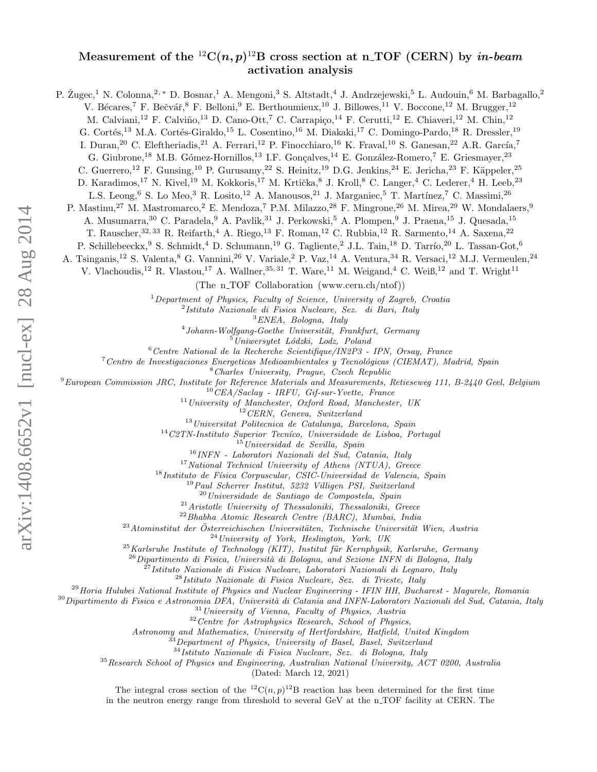## Measurement of the  $^{12}C(n,p)^{12}B$  cross section at n\_TOF (CERN) by in-beam activation analysis

P. Žugec,<sup>1</sup> N. Colonna,<sup>2,\*</sup> D. Bosnar,<sup>1</sup> A. Mengoni,<sup>3</sup> S. Altstadt,<sup>4</sup> J. Andrzejewski,<sup>5</sup> L. Audouin,<sup>6</sup> M. Barbagallo,<sup>2</sup> V. Bécares,<sup>7</sup> F. Bečvář,<sup>8</sup> F. Belloni,<sup>9</sup> E. Berthoumieux,<sup>10</sup> J. Billowes,<sup>11</sup> V. Boccone,<sup>12</sup> M. Brugger,<sup>12</sup> M. Calviani,<sup>12</sup> F. Calviño,<sup>13</sup> D. Cano-Ott,<sup>7</sup> C. Carrapiço,<sup>14</sup> F. Cerutti,<sup>12</sup> E. Chiaveri,<sup>12</sup> M. Chin,<sup>12</sup> G. Cortés,<sup>13</sup> M.A. Cortés-Giraldo,<sup>15</sup> L. Cosentino,<sup>16</sup> M. Diakaki,<sup>17</sup> C. Domingo-Pardo,<sup>18</sup> R. Dressler,<sup>19</sup> I. Duran,<sup>20</sup> C. Eleftheriadis,<sup>21</sup> A. Ferrari,<sup>12</sup> P. Finocchiaro,<sup>16</sup> K. Fraval,<sup>10</sup> S. Ganesan,<sup>22</sup> A.R. García,<sup>7</sup> G. Giubrone,<sup>18</sup> M.B. Gómez-Hornillos,<sup>13</sup> I.F. Gonçalves,<sup>14</sup> E. González-Romero,<sup>7</sup> E. Griesmayer,<sup>23</sup> C. Guerrero,<sup>12</sup> F. Gunsing,<sup>10</sup> P. Gurusamy,<sup>22</sup> S. Heinitz,<sup>19</sup> D.G. Jenkins,<sup>24</sup> E. Jericha,<sup>23</sup> F. Käppeler,<sup>25</sup> D. Karadimos,<sup>17</sup> N. Kivel,<sup>19</sup> M. Kokkoris,<sup>17</sup> M. Krtička, <sup>8</sup> J. Kroll, <sup>8</sup> C. Langer, <sup>4</sup> C. Lederer, <sup>4</sup> H. Leeb,<sup>23</sup> L.S. Leong,  $6$  S. Lo Meo,  $3$  R. Losito,  $12$  A. Manousos,  $21$  J. Marganiec,  $5$  T. Martínez,  $7$  C. Massimi,  $26$ P. Mastinu,<sup>27</sup> M. Mastromarco,<sup>2</sup> E. Mendoza,<sup>7</sup> P.M. Milazzo,<sup>28</sup> F. Mingrone,<sup>26</sup> M. Mirea,<sup>29</sup> W. Mondalaers,<sup>9</sup> A. Musumarra,  $30\,$  C. Paradela,  $^9\,$  A. Pavlik,  $^{31}$  J. Perkowski,  $^5\,$  A. Plompen,  $^9\,$  J. Praena,  $^{15}\,$  J. Quesada,  $^{15}\,$ T. Rauscher,  $32, 33$  R. Reifarth,  $4$  A. Riego,  $^{13}$  F. Roman,  $^{12}$  C. Rubbia,  $^{12}$  R. Sarmento,  $^{14}$  A. Saxena,  $^{22}$ P. Schillebeeckx, <sup>9</sup> S. Schmidt, <sup>4</sup> D. Schumann, <sup>19</sup> G. Tagliente, <sup>2</sup> J.L. Tain, <sup>18</sup> D. Tarrío, <sup>20</sup> L. Tassan-Got, <sup>6</sup> A. Tsinganis,<sup>12</sup> S. Valenta,<sup>8</sup> G. Vannini,<sup>26</sup> V. Variale,<sup>2</sup> P. Vaz,<sup>14</sup> A. Ventura,<sup>34</sup> R. Versaci,<sup>12</sup> M.J. Vermeulen,<sup>24</sup> V. Vlachoudis,<sup>12</sup> R. Vlastou,<sup>17</sup> A. Wallner,<sup>35, 31</sup> T. Ware,<sup>11</sup> M. Weigand,<sup>4</sup> C. Weiß,<sup>12</sup> and T. Wright<sup>11</sup> (The  $n_TOF$  Collaboration (www.cern.ch/ntof)) <sup>1</sup>Department of Physics, Faculty of Science, University of Zagreb, Croatia 2 Istituto Nazionale di Fisica Nucleare, Sez. di Bari, Italy <sup>3</sup>ENEA, Bologna, Italy  $^{4}$ Johann-Wolfgang-Goethe Universität, Frankfurt, Germany  $5$ Uniwersytet Lódzki, Lodz, Poland  $6$ Centre National de la Recherche Scientifique/IN2P3 - IPN, Orsay, France  $7$ Centro de Investigaciones Energeticas Medioambientales y Tecnológicas (CIEMAT), Madrid, Spain <sup>8</sup>Charles University, Prague, Czech Republic <sup>9</sup>European Commission JRC, Institute for Reference Materials and Measurements, Retieseweg 111, B-2440 Geel, Belgium  $^{10}$ CEA/Saclay - IRFU, Gif-sur-Yvette, France  $11$  University of Manchester, Oxford Road, Manchester, UK <sup>12</sup>CERN, Geneva, Switzerland  $13$ Universitat Politecnica de Catalunya, Barcelona, Spain  $14$ C2TN-Instituto Superior Tecníco, Universidade de Lisboa, Portugal  $15$ Universidad de Sevilla, Spain <sup>16</sup>INFN - Laboratori Nazionali del Sud, Catania, Italy  $17$ National Technical University of Athens (NTUA), Greece  $18$ Instituto de Física Corpuscular, CSIC-Universidad de Valencia, Spain <sup>19</sup> Paul Scherrer Institut, 5232 Villigen PSI, Switzerland  $^{20}$ Universidade de Santiago de Compostela, Spain <sup>21</sup>Aristotle University of Thessaloniki, Thessaloniki, Greece <sup>22</sup>Bhabha Atomic Research Centre (BARC), Mumbai, India  $^{23}$ Atominstitut der Österreichischen Universitäten, Technische Universität Wien, Austria  $^{24}$ University of York, Heslington, York, UK  $^{25}$ Karlsruhe Institute of Technology (KIT), Institut für Kernphysik, Karlsruhe, Germany  $^{26}$ Dipartimento di Fisica, Università di Bologna, and Sezione INFN di Bologna, Italy  $^{27}$ Istituto Nazionale di Fisica Nucleare, Laboratori Nazionali di Legnaro, Italy  $28$ Istituto Nazionale di Fisica Nucleare, Sez. di Trieste, Italy  $^{29}$ Horia Hulubei National Institute of Physics and Nuclear Engineering - IFIN HH, Bucharest - Magurele, Romania  $30$ Dipartimento di Fisica e Astronomia DFA, Università di Catania and INFN-Laboratori Nazionali del Sud, Catania, Italy <sup>31</sup>University of Vienna, Faculty of Physics, Austria <sup>32</sup>Centre for Astrophysics Research, School of Physics, Astronomy and Mathematics, University of Hertfordshire, Hatfield, United Kingdom  $33$ Department of Physics, University of Basel, Basel, Switzerland <sup>34</sup>Istituto Nazionale di Fisica Nucleare, Sez. di Bologna, Italy <sup>35</sup>Research School of Physics and Engineering, Australian National University, ACT 0200, Australia (Dated: March 12, 2021)

> The integral cross section of the  ${}^{12}C(n,p){}^{12}B$  reaction has been determined for the first time in the neutron energy range from threshold to several GeV at the n.TOF facility at CERN. The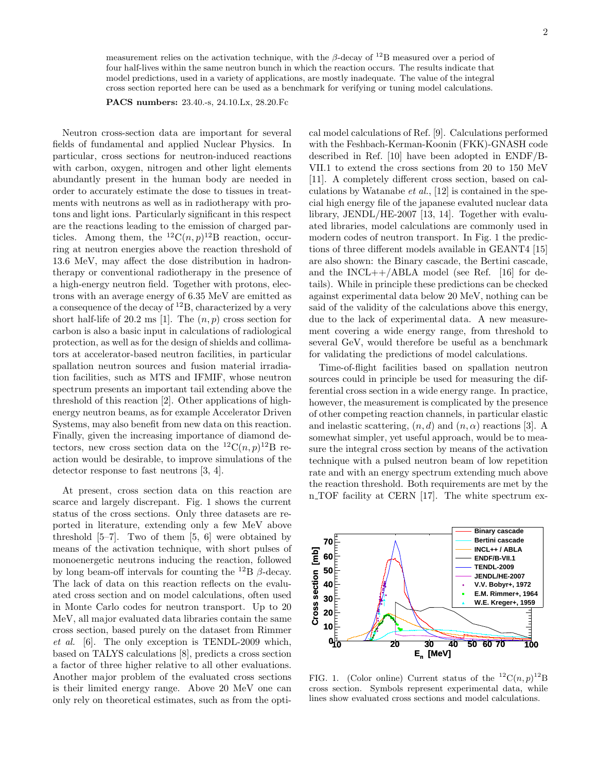measurement relies on the activation technique, with the  $\beta$ -decay of <sup>12</sup>B measured over a period of four half-lives within the same neutron bunch in which the reaction occurs. The results indicate that model predictions, used in a variety of applications, are mostly inadequate. The value of the integral cross section reported here can be used as a benchmark for verifying or tuning model calculations.

PACS numbers: 23.40.-s, 24.10.Lx, 28.20.Fc

Neutron cross-section data are important for several fields of fundamental and applied Nuclear Physics. In particular, cross sections for neutron-induced reactions with carbon, oxygen, nitrogen and other light elements abundantly present in the human body are needed in order to accurately estimate the dose to tissues in treatments with neutrons as well as in radiotherapy with protons and light ions. Particularly significant in this respect are the reactions leading to the emission of charged particles. Among them, the  ${}^{12}C(n,p){}^{12}B$  reaction, occurring at neutron energies above the reaction threshold of 13.6 MeV, may affect the dose distribution in hadrontherapy or conventional radiotherapy in the presence of a high-energy neutron field. Together with protons, electrons with an average energy of 6.35 MeV are emitted as a consequence of the decay of <sup>12</sup>B, characterized by a very short half-life of 20.2 ms [1]. The  $(n, p)$  cross section for carbon is also a basic input in calculations of radiological protection, as well as for the design of shields and collimators at accelerator-based neutron facilities, in particular spallation neutron sources and fusion material irradiation facilities, such as MTS and IFMIF, whose neutron spectrum presents an important tail extending above the threshold of this reaction [2]. Other applications of highenergy neutron beams, as for example Accelerator Driven Systems, may also benefit from new data on this reaction. Finally, given the increasing importance of diamond detectors, new cross section data on the  ${}^{12}C(n,p){}^{12}B$  reaction would be desirable, to improve simulations of the detector response to fast neutrons [3, 4].

At present, cross section data on this reaction are scarce and largely discrepant. Fig. 1 shows the current status of the cross sections. Only three datasets are reported in literature, extending only a few MeV above threshold  $[5-7]$ . Two of them  $[5, 6]$  were obtained by means of the activation technique, with short pulses of monoenergetic neutrons inducing the reaction, followed by long beam-off intervals for counting the <sup>12</sup>B  $\beta$ -decay. The lack of data on this reaction reflects on the evaluated cross section and on model calculations, often used in Monte Carlo codes for neutron transport. Up to 20 MeV, all major evaluated data libraries contain the same cross section, based purely on the dataset from Rimmer et al. [6]. The only exception is TENDL-2009 which, based on TALYS calculations [8], predicts a cross section a factor of three higher relative to all other evaluations. Another major problem of the evaluated cross sections is their limited energy range. Above 20 MeV one can only rely on theoretical estimates, such as from the optical model calculations of Ref. [9]. Calculations performed with the Feshbach-Kerman-Koonin (FKK)-GNASH code described in Ref. [10] have been adopted in ENDF/B-VII.1 to extend the cross sections from 20 to 150 MeV [11]. A completely different cross section, based on calculations by Watanabe *et al.*, [12] is contained in the special high energy file of the japanese evaluted nuclear data library, JENDL/HE-2007 [13, 14]. Together with evaluated libraries, model calculations are commonly used in modern codes of neutron transport. In Fig. 1 the predictions of three different models available in GEANT4 [15] are also shown: the Binary cascade, the Bertini cascade, and the  $INCL++/ABLA$  model (see Ref. [16] for details). While in principle these predictions can be checked against experimental data below 20 MeV, nothing can be said of the validity of the calculations above this energy, due to the lack of experimental data. A new measurement covering a wide energy range, from threshold to several GeV, would therefore be useful as a benchmark for validating the predictions of model calculations.

Time-of-flight facilities based on spallation neutron sources could in principle be used for measuring the differential cross section in a wide energy range. In practice, however, the measurement is complicated by the presence of other competing reaction channels, in particular elastic and inelastic scattering,  $(n, d)$  and  $(n, \alpha)$  reactions [3]. A somewhat simpler, yet useful approach, would be to measure the integral cross section by means of the activation technique with a pulsed neutron beam of low repetition rate and with an energy spectrum extending much above the reaction threshold. Both requirements are met by the n TOF facility at CERN [17]. The white spectrum ex-



FIG. 1. (Color online) Current status of the  ${}^{12}C(n,p){}^{12}B$ cross section. Symbols represent experimental data, while lines show evaluated cross sections and model calculations.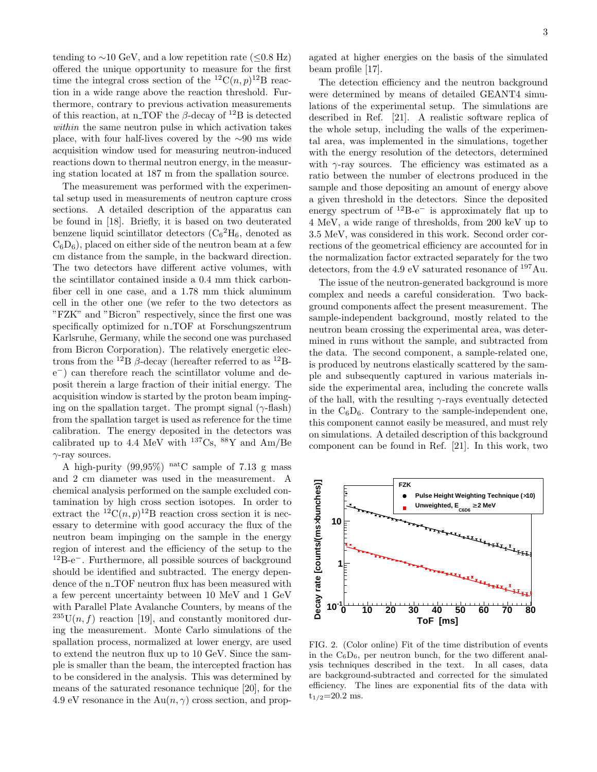tending to  $\sim$ 10 GeV, and a low repetition rate (≤0.8 Hz) offered the unique opportunity to measure for the first time the integral cross section of the  ${}^{12}C(n,p){}^{12}B$  reaction in a wide range above the reaction threshold. Furthermore, contrary to previous activation measurements of this reaction, at n TOF the  $\beta$ -decay of <sup>12</sup>B is detected within the same neutron pulse in which activation takes place, with four half-lives covered by the ∼90 ms wide acquisition window used for measuring neutron-induced reactions down to thermal neutron energy, in the measuring station located at 187 m from the spallation source.

The measurement was performed with the experimental setup used in measurements of neutron capture cross sections. A detailed description of the apparatus can be found in [18]. Briefly, it is based on two deuterated benzene liquid scintillator detectors  $(C_6^2H_6,$  denoted as  $C_6D_6$ , placed on either side of the neutron beam at a few cm distance from the sample, in the backward direction. The two detectors have different active volumes, with the scintillator contained inside a 0.4 mm thick carbonfiber cell in one case, and a 1.78 mm thick aluminum cell in the other one (we refer to the two detectors as "FZK" and "Bicron" respectively, since the first one was specifically optimized for n<sub>TOF</sub> at Forschungszentrum Karlsruhe, Germany, while the second one was purchased from Bicron Corporation). The relatively energetic electrons from the <sup>12</sup>B  $\beta$ -decay (hereafter referred to as <sup>12</sup>Be <sup>−</sup>) can therefore reach the scintillator volume and deposit therein a large fraction of their initial energy. The acquisition window is started by the proton beam impinging on the spallation target. The prompt signal  $(\gamma$ -flash) from the spallation target is used as reference for the time calibration. The energy deposited in the detectors was calibrated up to 4.4 MeV with  $^{137}Cs$ ,  $^{88}Y$  and Am/Be  $\gamma$ -ray sources.

A high-purity  $(99.95\%)$  natC sample of 7.13 g mass and 2 cm diameter was used in the measurement. A chemical analysis performed on the sample excluded contamination by high cross section isotopes. In order to extract the <sup>12</sup>C(n, p)<sup>12</sup>B reaction cross section it is necessary to determine with good accuracy the flux of the neutron beam impinging on the sample in the energy region of interest and the efficiency of the setup to the <sup>12</sup>B-e<sup>−</sup>. Furthermore, all possible sources of background should be identified and subtracted. The energy dependence of the n\_TOF neutron flux has been measured with a few percent uncertainty between 10 MeV and 1 GeV with Parallel Plate Avalanche Counters, by means of the  $^{235}U(n, f)$  reaction [19], and constantly monitored during the measurement. Monte Carlo simulations of the spallation process, normalized at lower energy, are used to extend the neutron flux up to 10 GeV. Since the sample is smaller than the beam, the intercepted fraction has to be considered in the analysis. This was determined by means of the saturated resonance technique [20], for the 4.9 eV resonance in the  $Au(n, \gamma)$  cross section, and prop-

The detection efficiency and the neutron background were determined by means of detailed GEANT4 simulations of the experimental setup. The simulations are described in Ref. [21]. A realistic software replica of the whole setup, including the walls of the experimental area, was implemented in the simulations, together with the energy resolution of the detectors, determined with  $\gamma$ -ray sources. The efficiency was estimated as a ratio between the number of electrons produced in the sample and those depositing an amount of energy above a given threshold in the detectors. Since the deposited energy spectrum of  $^{12}B-e^-$  is approximately flat up to 4 MeV, a wide range of thresholds, from 200 keV up to 3.5 MeV, was considered in this work. Second order corrections of the geometrical efficiency are accounted for in the normalization factor extracted separately for the two detectors, from the 4.9 eV saturated resonance of <sup>197</sup>Au.

The issue of the neutron-generated background is more complex and needs a careful consideration. Two background components affect the present measurement. The sample-independent background, mostly related to the neutron beam crossing the experimental area, was determined in runs without the sample, and subtracted from the data. The second component, a sample-related one, is produced by neutrons elastically scattered by the sample and subsequently captured in various materials inside the experimental area, including the concrete walls of the hall, with the resulting  $\gamma$ -rays eventually detected in the  $C_6D_6$ . Contrary to the sample-independent one, this component cannot easily be measured, and must rely on simulations. A detailed description of this background component can be found in Ref. [21]. In this work, two



FIG. 2. (Color online) Fit of the time distribution of events in the  $C_6D_6$ , per neutron bunch, for the two different analysis techniques described in the text. In all cases, data are background-subtracted and corrected for the simulated efficiency. The lines are exponential fits of the data with  $t_{1/2}$ =20.2 ms.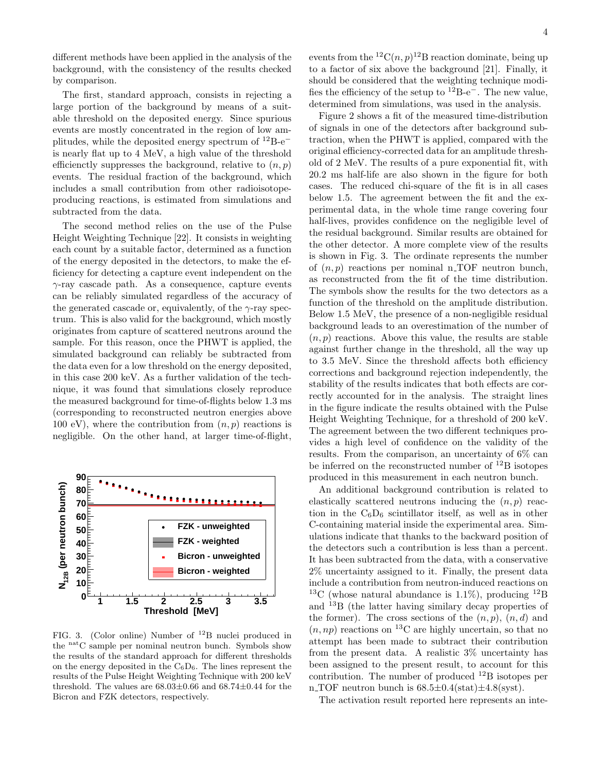different methods have been applied in the analysis of the background, with the consistency of the results checked by comparison.

The first, standard approach, consists in rejecting a large portion of the background by means of a suitable threshold on the deposited energy. Since spurious events are mostly concentrated in the region of low amplitudes, while the deposited energy spectrum of  $12B-e^$ is nearly flat up to 4 MeV, a high value of the threshold efficienctly suppresses the background, relative to  $(n, p)$ events. The residual fraction of the background, which includes a small contribution from other radioisotopeproducing reactions, is estimated from simulations and subtracted from the data.

The second method relies on the use of the Pulse Height Weighting Technique [22]. It consists in weighting each count by a suitable factor, determined as a function of the energy deposited in the detectors, to make the efficiency for detecting a capture event independent on the  $\gamma$ -ray cascade path. As a consequence, capture events can be reliably simulated regardless of the accuracy of the generated cascade or, equivalently, of the  $\gamma$ -ray spectrum. This is also valid for the background, which mostly originates from capture of scattered neutrons around the sample. For this reason, once the PHWT is applied, the simulated background can reliably be subtracted from the data even for a low threshold on the energy deposited, in this case 200 keV. As a further validation of the technique, it was found that simulations closely reproduce the measured background for time-of-flights below 1.3 ms (corresponding to reconstructed neutron energies above 100 eV), where the contribution from  $(n, p)$  reactions is negligible. On the other hand, at larger time-of-flight,



FIG. 3. (Color online) Number of <sup>12</sup>B nuclei produced in the natC sample per nominal neutron bunch. Symbols show the results of the standard approach for different thresholds on the energy deposited in the  $C_6D_6$ . The lines represent the results of the Pulse Height Weighting Technique with 200 keV threshold. The values are  $68.03\pm0.66$  and  $68.74\pm0.44$  for the Bicron and FZK detectors, respectively.

events from the  ${}^{12}C(n,p){}^{12}B$  reaction dominate, being up to a factor of six above the background [21]. Finally, it should be considered that the weighting technique modifies the efficiency of the setup to  $12B-e^-$ . The new value, determined from simulations, was used in the analysis.

Figure 2 shows a fit of the measured time-distribution of signals in one of the detectors after background subtraction, when the PHWT is applied, compared with the original efficiency-corrected data for an amplitude threshold of 2 MeV. The results of a pure exponential fit, with 20.2 ms half-life are also shown in the figure for both cases. The reduced chi-square of the fit is in all cases below 1.5. The agreement between the fit and the experimental data, in the whole time range covering four half-lives, provides confidence on the negligible level of the residual background. Similar results are obtained for the other detector. A more complete view of the results is shown in Fig. 3. The ordinate represents the number of  $(n, p)$  reactions per nominal n TOF neutron bunch, as reconstructed from the fit of the time distribution. The symbols show the results for the two detectors as a function of the threshold on the amplitude distribution. Below 1.5 MeV, the presence of a non-negligible residual background leads to an overestimation of the number of  $(n, p)$  reactions. Above this value, the results are stable against further change in the threshold, all the way up to 3.5 MeV. Since the threshold affects both efficiency corrections and background rejection independently, the stability of the results indicates that both effects are correctly accounted for in the analysis. The straight lines in the figure indicate the results obtained with the Pulse Height Weighting Technique, for a threshold of 200 keV. The agreement between the two different techniques provides a high level of confidence on the validity of the results. From the comparison, an uncertainty of 6% can be inferred on the reconstructed number of  $^{12}B$  isotopes produced in this measurement in each neutron bunch.

An additional background contribution is related to elastically scattered neutrons inducing the  $(n, p)$  reaction in the  $C_6D_6$  scintillator itself, as well as in other C-containing material inside the experimental area. Simulations indicate that thanks to the backward position of the detectors such a contribution is less than a percent. It has been subtracted from the data, with a conservative 2% uncertainty assigned to it. Finally, the present data include a contribution from neutron-induced reactions on <sup>13</sup>C (whose natural abundance is 1.1%), producing <sup>12</sup>B and <sup>13</sup>B (the latter having similary decay properties of the former). The cross sections of the  $(n, p)$ ,  $(n, d)$  and  $(n, np)$  reactions on <sup>13</sup>C are highly uncertain, so that no attempt has been made to subtract their contribution from the present data. A realistic 3% uncertainty has been assigned to the present result, to account for this contribution. The number of produced <sup>12</sup>B isotopes per n\_TOF neutron bunch is  $68.5 \pm 0.4(\text{stat}) \pm 4.8(\text{syst})$ .

The activation result reported here represents an inte-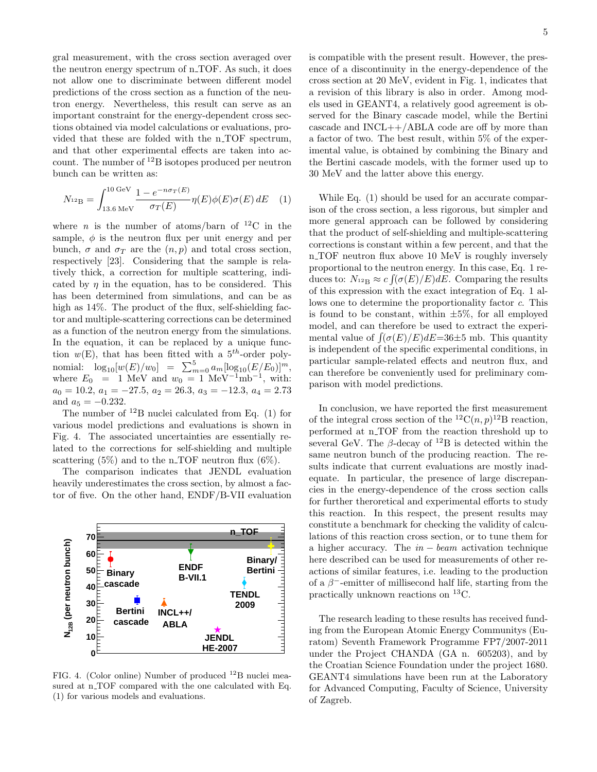gral measurement, with the cross section averaged over the neutron energy spectrum of n TOF. As such, it does not allow one to discriminate between different model predictions of the cross section as a function of the neutron energy. Nevertheless, this result can serve as an important constraint for the energy-dependent cross sections obtained via model calculations or evaluations, provided that these are folded with the n<sub>-TOF</sub> spectrum, and that other experimental effects are taken into account. The number of  ${}^{12}B$  isotopes produced per neutron bunch can be written as:

$$
N_{^{12}\text{B}} = \int_{13.6 \text{ MeV}}^{10 \text{ GeV}} \frac{1 - e^{-n\sigma_T(E)}}{\sigma_T(E)} \eta(E) \phi(E) \sigma(E) dE \quad (1)
$$

where *n* is the number of atoms/barn of <sup>12</sup>C in the sample,  $\phi$  is the neutron flux per unit energy and per bunch,  $\sigma$  and  $\sigma_T$  are the  $(n, p)$  and total cross section. respectively [23]. Considering that the sample is relatively thick, a correction for multiple scattering, indicated by  $\eta$  in the equation, has to be considered. This has been determined from simulations, and can be as high as 14%. The product of the flux, self-shielding factor and multiple-scattering corrections can be determined as a function of the neutron energy from the simulations. In the equation, it can be replaced by a unique function  $w(E)$ , that has been fitted with a  $5<sup>th</sup>$ -order polynomial:  $\log_{10}[w(E)/w_0] = \sum_{m=0}^{5} a_m [\log_{10}(E/E_0)]^m$ , where  $E_0 = 1$  MeV and  $w_0 = 1$  MeV<sup>-1</sup>mb<sup>-1</sup>, with:  $a_0 = 10.2, a_1 = -27.5, a_2 = 26.3, a_3 = -12.3, a_4 = 2.73$ and  $a_5 = -0.232$ .

The number of  $^{12}B$  nuclei calculated from Eq. (1) for various model predictions and evaluations is shown in Fig. 4. The associated uncertainties are essentially related to the corrections for self-shielding and multiple scattering  $(5\%)$  and to the n\_TOF neutron flux  $(6\%)$ .

The comparison indicates that JENDL evaluation heavily underestimates the cross section, by almost a factor of five. On the other hand, ENDF/B-VII evaluation



FIG. 4. (Color online) Number of produced <sup>12</sup>B nuclei measured at n\_TOF compared with the one calculated with Eq. (1) for various models and evaluations.

is compatible with the present result. However, the presence of a discontinuity in the energy-dependence of the cross section at 20 MeV, evident in Fig. 1, indicates that a revision of this library is also in order. Among models used in GEANT4, a relatively good agreement is observed for the Binary cascade model, while the Bertini cascade and  $INCL++/ABLA$  code are off by more than a factor of two. The best result, within 5% of the experimental value, is obtained by combining the Binary and the Bertini cascade models, with the former used up to 30 MeV and the latter above this energy.

While Eq. (1) should be used for an accurate comparison of the cross section, a less rigorous, but simpler and more general approach can be followed by considering that the product of self-shielding and multiple-scattering corrections is constant within a few percent, and that the n TOF neutron flux above 10 MeV is roughly inversely proportional to the neutron energy. In this case, Eq. 1 reduces to:  $N_{^{12}\text{B}} \approx c \int (\sigma(E)/E) dE$ . Comparing the results of this expression with the exact integration of Eq. 1 allows one to determine the proportionality factor c. This is found to be constant, within  $\pm 5\%$ , for all employed model, and can therefore be used to extract the experimental value of  $\int (\sigma(E)/E)dE=36\pm 5$  mb. This quantity is independent of the specific experimental conditions, in particular sample-related effects and neutron flux, and can therefore be conveniently used for preliminary comparison with model predictions.

In conclusion, we have reported the first measurement of the integral cross section of the <sup>12</sup>C $(n, p)$ <sup>12</sup>B reaction, performed at n\_TOF from the reaction threshold up to several GeV. The  $\beta$ -decay of <sup>12</sup>B is detected within the same neutron bunch of the producing reaction. The results indicate that current evaluations are mostly inadequate. In particular, the presence of large discrepancies in the energy-dependence of the cross section calls for further theroretical and experimental efforts to study this reaction. In this respect, the present results may constitute a benchmark for checking the validity of calculations of this reaction cross section, or to tune them for a higher accuracy. The  $in - beam$  activation technique here described can be used for measurements of other reactions of similar features, i.e. leading to the production of a  $\beta^-$ -emitter of millisecond half life, starting from the practically unknown reactions on <sup>13</sup>C.

The research leading to these results has received funding from the European Atomic Energy Communitys (Euratom) Seventh Framework Programme FP7/2007-2011 under the Project CHANDA (GA n. 605203), and by the Croatian Science Foundation under the project 1680. GEANT4 simulations have been run at the Laboratory for Advanced Computing, Faculty of Science, University of Zagreb.